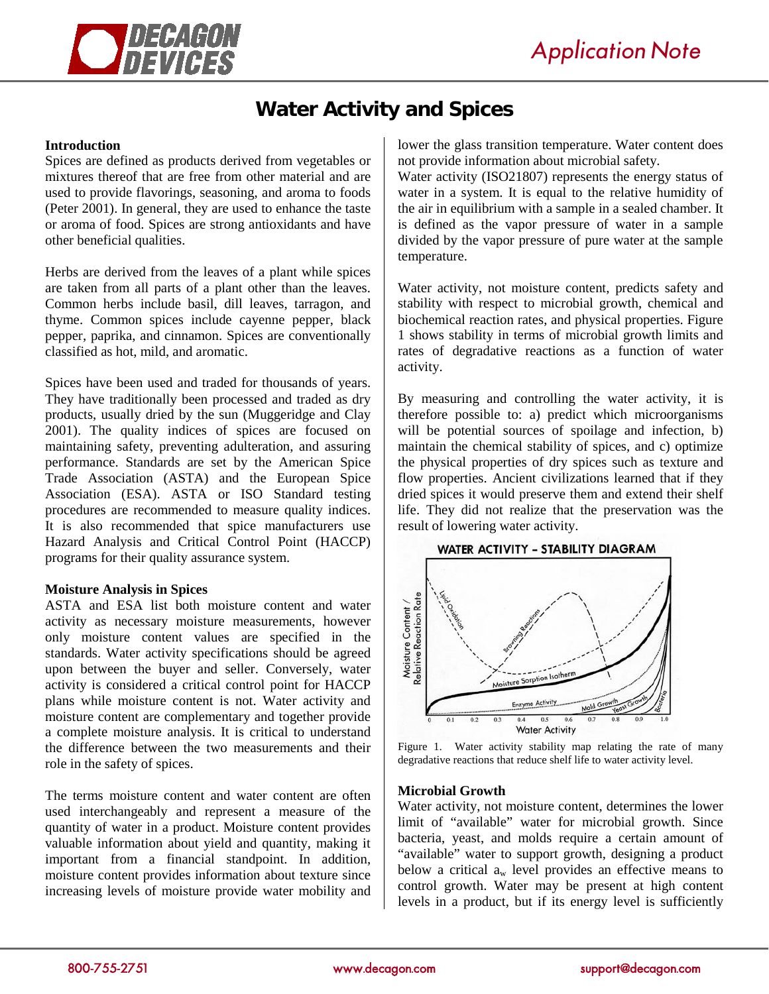

# **Water Activity and Spices**

## **Introduction**

Spices are defined as products derived from vegetables or mixtures thereof that are free from other material and are used to provide flavorings, seasoning, and aroma to foods (Peter 2001). In general, they are used to enhance the taste or aroma of food. Spices are strong antioxidants and have other beneficial qualities.

Herbs are derived from the leaves of a plant while spices are taken from all parts of a plant other than the leaves. Common herbs include basil, dill leaves, tarragon, and thyme. Common spices include cayenne pepper, black pepper, paprika, and cinnamon. Spices are conventionally classified as hot, mild, and aromatic.

Spices have been used and traded for thousands of years. They have traditionally been processed and traded as dry products, usually dried by the sun (Muggeridge and Clay 2001). The quality indices of spices are focused on maintaining safety, preventing adulteration, and assuring performance. Standards are set by the American Spice Trade Association (ASTA) and the European Spice Association (ESA). ASTA or ISO Standard testing procedures are recommended to measure quality indices. It is also recommended that spice manufacturers use Hazard Analysis and Critical Control Point (HACCP) programs for their quality assurance system.

## **Moisture Analysis in Spices**

ASTA and ESA list both moisture content and water activity as necessary moisture measurements, however only moisture content values are specified in the standards. Water activity specifications should be agreed upon between the buyer and seller. Conversely, water activity is considered a critical control point for HACCP plans while moisture content is not. Water activity and moisture content are complementary and together provide a complete moisture analysis. It is critical to understand the difference between the two measurements and their role in the safety of spices.

The terms moisture content and water content are often used interchangeably and represent a measure of the quantity of water in a product. Moisture content provides valuable information about yield and quantity, making it important from a financial standpoint. In addition, moisture content provides information about texture since increasing levels of moisture provide water mobility and

lower the glass transition temperature. Water content does not provide information about microbial safety.

Water activity (ISO21807) represents the energy status of water in a system. It is equal to the relative humidity of the air in equilibrium with a sample in a sealed chamber. It is defined as the vapor pressure of water in a sample divided by the vapor pressure of pure water at the sample temperature.

Water activity, not moisture content, predicts safety and stability with respect to microbial growth, chemical and biochemical reaction rates, and physical properties. Figure 1 shows stability in terms of microbial growth limits and rates of degradative reactions as a function of water activity.

By measuring and controlling the water activity, it is therefore possible to: a) predict which microorganisms will be potential sources of spoilage and infection, b) maintain the chemical stability of spices, and c) optimize the physical properties of dry spices such as texture and flow properties. Ancient civilizations learned that if they dried spices it would preserve them and extend their shelf life. They did not realize that the preservation was the result of lowering water activity.



Figure 1. Water activity stability map relating the rate of many degradative reactions that reduce shelf life to water activity level.

## **Microbial Growth**

Water activity, not moisture content, determines the lower limit of "available" water for microbial growth. Since bacteria, yeast, and molds require a certain amount of "available" water to support growth, designing a product below a critical  $a_w$  level provides an effective means to control growth. Water may be present at high content levels in a product, but if its energy level is sufficiently